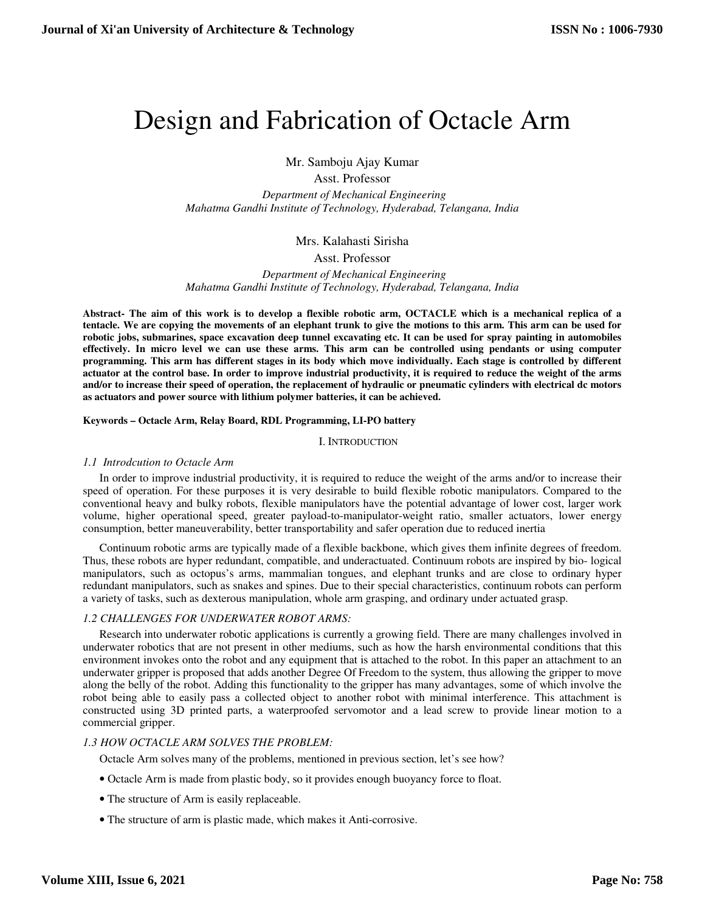# Design and Fabrication of Octacle Arm

Mr. Samboju Ajay Kumar

Asst. Professor

 *Department of Mechanical Engineering Mahatma Gandhi Institute of Technology, Hyderabad, Telangana, India* 

# Mrs. Kalahasti Sirisha

# Asst. Professor

 *Department of Mechanical Engineering Mahatma Gandhi Institute of Technology, Hyderabad, Telangana, India* 

**Abstract- The aim of this work is to develop a flexible robotic arm, OCTACLE which is a mechanical replica of a tentacle. We are copying the movements of an elephant trunk to give the motions to this arm. This arm can be used for robotic jobs, submarines, space excavation deep tunnel excavating etc. It can be used for spray painting in automobiles effectively. In micro level we can use these arms. This arm can be controlled using pendants or using computer programming. This arm has different stages in its body which move individually. Each stage is controlled by different actuator at the control base. In order to improve industrial productivity, it is required to reduce the weight of the arms and/or to increase their speed of operation, the replacement of hydraulic or pneumatic cylinders with electrical dc motors as actuators and power source with lithium polymer batteries, it can be achieved.** 

## **Keywords – Octacle Arm, Relay Board, RDL Programming, LI-PO battery**

## I. INTRODUCTION

# *1.1 Introdcution to Octacle Arm*

In order to improve industrial productivity, it is required to reduce the weight of the arms and/or to increase their speed of operation. For these purposes it is very desirable to build flexible robotic manipulators. Compared to the conventional heavy and bulky robots, flexible manipulators have the potential advantage of lower cost, larger work volume, higher operational speed, greater payload-to-manipulator-weight ratio, smaller actuators, lower energy consumption, better maneuverability, better transportability and safer operation due to reduced inertia

Continuum robotic arms are typically made of a flexible backbone, which gives them infinite degrees of freedom. Thus, these robots are hyper redundant, compatible, and underactuated. Continuum robots are inspired by bio- logical manipulators, such as octopus's arms, mammalian tongues, and elephant trunks and are close to ordinary hyper redundant manipulators, such as snakes and spines. Due to their special characteristics, continuum robots can perform a variety of tasks, such as dexterous manipulation, whole arm grasping, and ordinary under actuated grasp.

# *1.2 CHALLENGES FOR UNDERWATER ROBOT ARMS:*

Research into underwater robotic applications is currently a growing field. There are many challenges involved in underwater robotics that are not present in other mediums, such as how the harsh environmental conditions that this environment invokes onto the robot and any equipment that is attached to the robot. In this paper an attachment to an underwater gripper is proposed that adds another Degree Of Freedom to the system, thus allowing the gripper to move along the belly of the robot. Adding this functionality to the gripper has many advantages, some of which involve the robot being able to easily pass a collected object to another robot with minimal interference. This attachment is constructed using 3D printed parts, a waterproofed servomotor and a lead screw to provide linear motion to a commercial gripper.

# *1.3 HOW OCTACLE ARM SOLVES THE PROBLEM:*

Octacle Arm solves many of the problems, mentioned in previous section, let's see how?

- Octacle Arm is made from plastic body, so it provides enough buoyancy force to float.
- The structure of Arm is easily replaceable.
- The structure of arm is plastic made, which makes it Anti-corrosive.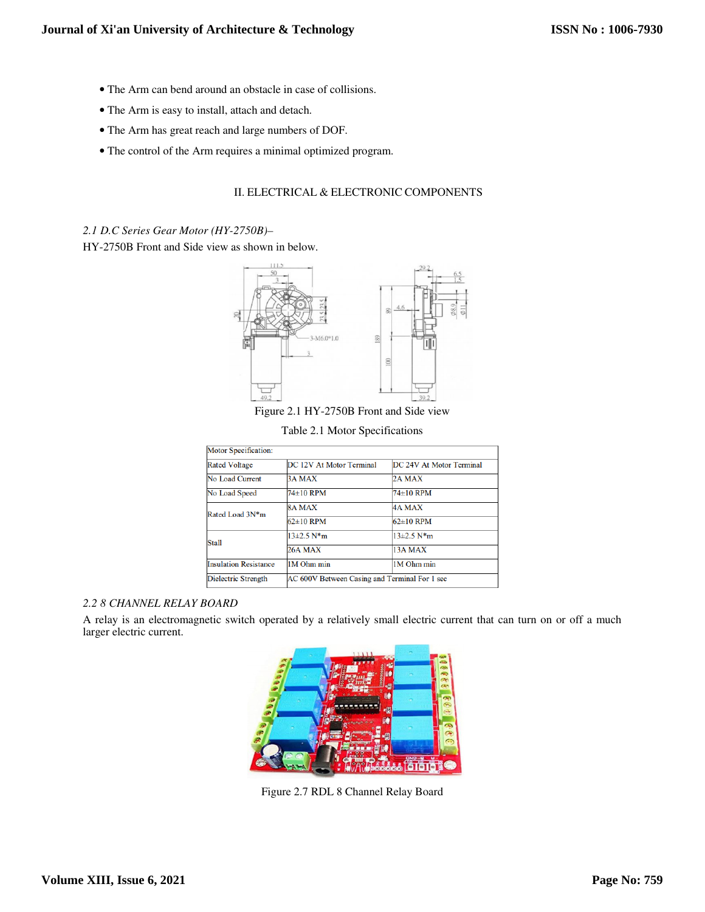- The Arm can bend around an obstacle in case of collisions.
- The Arm is easy to install, attach and detach.
- The Arm has great reach and large numbers of DOF.
- The control of the Arm requires a minimal optimized program.

## II. ELECTRICAL & ELECTRONIC COMPONENTS

## *2.1 D.C Series Gear Motor (HY-2750B)–*

HY-2750B Front and Side view as shown in below.



Figure 2.1 HY-2750B Front and Side view

Table 2.1 Motor Specifications

| <b>Motor Specification:</b>  |                                               |                          |
|------------------------------|-----------------------------------------------|--------------------------|
| <b>Rated Voltage</b>         | DC 12V At Motor Terminal                      | DC 24V At Motor Terminal |
| No Load Current              | <b>3A MAX</b>                                 | 2A MAX                   |
| No Load Speed                | 74±10 RPM                                     | 74±10 RPM                |
| Rated Load 3N*m              | <b>8A MAX</b>                                 | <b>4A MAX</b>            |
|                              | $62\pm10$ RPM                                 | $62\pm10$ RPM            |
| <b>Stall</b>                 | $13\pm2.5$ N*m                                | $13\pm2.5$ N*m           |
|                              | <b>26A MAX</b>                                | 13A MAX                  |
| <b>Insulation Resistance</b> | 1M Ohm min                                    | 1M Ohm min               |
| Dielectric Strength          | AC 600V Between Casing and Terminal For 1 sec |                          |

## *2.2 8 CHANNEL RELAY BOARD*

A relay is an electromagnetic switch operated by a relatively small electric current that can turn on or off a much larger electric current.



Figure 2.7 RDL 8 Channel Relay Board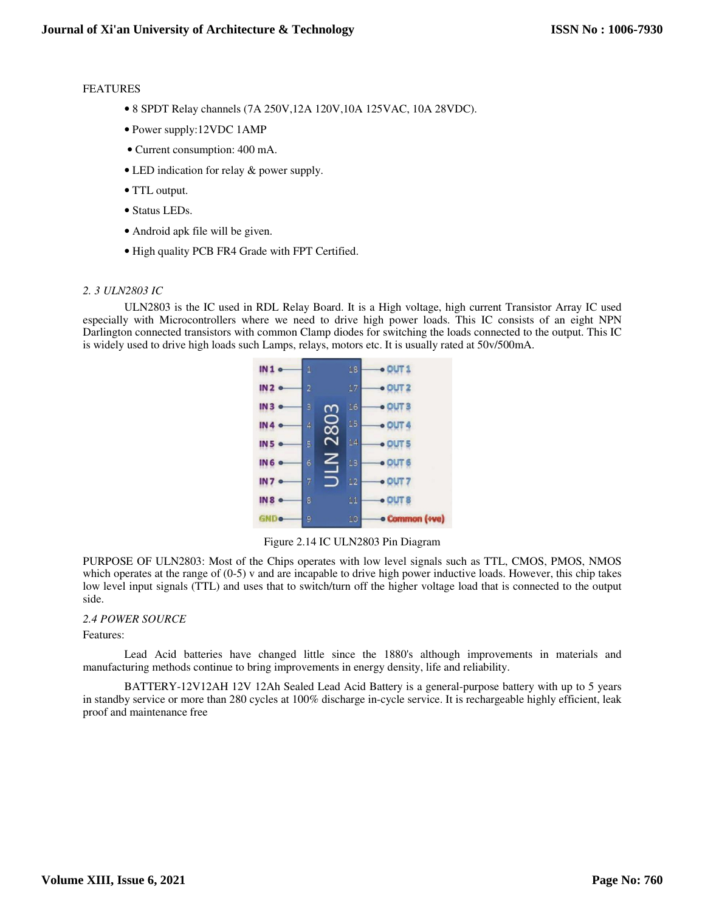#### FEATURES

- 8 SPDT Relay channels (7A 250V,12A 120V,10A 125VAC, 10A 28VDC).
- Power supply:12VDC 1AMP
- Current consumption: 400 mA.
- LED indication for relay & power supply.
- TTL output.
- Status LEDs.
- Android apk file will be given.
- High quality PCB FR4 Grade with FPT Certified.

#### *2. 3 ULN2803 IC*

ULN2803 is the IC used in RDL Relay Board. It is a High voltage, high current Transistor Array IC used especially with Microcontrollers where we need to drive high power loads. This IC consists of an eight NPN Darlington connected transistors with common Clamp diodes for switching the loads connected to the output. This IC is widely used to drive high loads such Lamps, relays, motors etc. It is usually rated at 50v/500mA.



Figure 2.14 IC ULN2803 Pin Diagram

PURPOSE OF ULN2803: Most of the Chips operates with low level signals such as TTL, CMOS, PMOS, NMOS which operates at the range of (0-5) v and are incapable to drive high power inductive loads. However, this chip takes low level input signals (TTL) and uses that to switch/turn off the higher voltage load that is connected to the output side.

### *2.4 POWER SOURCE*

Features:

Lead Acid batteries have changed little since the 1880's although improvements in materials and manufacturing methods continue to bring improvements in energy density, life and reliability.

BATTERY-12V12AH 12V 12Ah Sealed Lead Acid Battery is a general-purpose battery with up to 5 years in standby service or more than 280 cycles at 100% discharge in-cycle service. It is rechargeable highly efficient, leak proof and maintenance free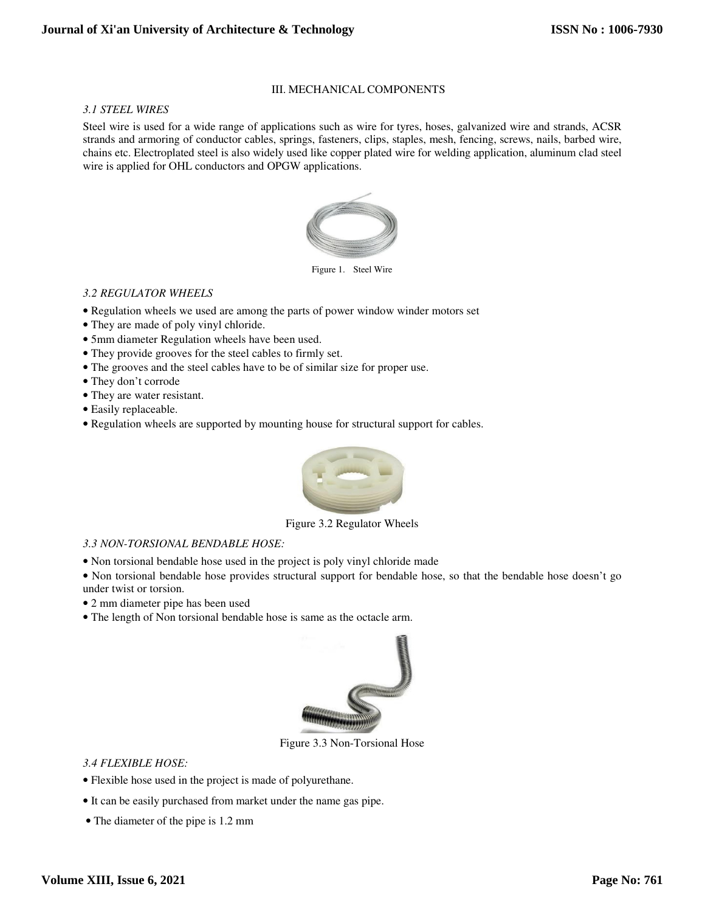## III. MECHANICAL COMPONENTS

*3.1 STEEL WIRES* 

Steel wire is used for a wide range of applications such as wire for tyres, hoses, galvanized wire and strands, ACSR strands and armoring of conductor cables, springs, fasteners, clips, staples, mesh, fencing, screws, nails, barbed wire, chains etc. Electroplated steel is also widely used like copper plated wire for welding application, aluminum clad steel wire is applied for OHL conductors and OPGW applications.



Figure 1. Steel Wire

## *3.2 REGULATOR WHEELS*

- Regulation wheels we used are among the parts of power window winder motors set
- They are made of poly vinyl chloride.
- 5mm diameter Regulation wheels have been used.
- They provide grooves for the steel cables to firmly set.
- The grooves and the steel cables have to be of similar size for proper use.
- They don't corrode
- They are water resistant.
- Easily replaceable.
- Regulation wheels are supported by mounting house for structural support for cables.



Figure 3.2 Regulator Wheels

### *3.3 NON-TORSIONAL BENDABLE HOSE:*

• Non torsional bendable hose used in the project is poly vinyl chloride made

• Non torsional bendable hose provides structural support for bendable hose, so that the bendable hose doesn't go under twist or torsion.

- 2 mm diameter pipe has been used
- The length of Non torsional bendable hose is same as the octacle arm.



Figure 3.3 Non-Torsional Hose

### *3.4 FLEXIBLE HOSE:*

- Flexible hose used in the project is made of polyurethane.
- It can be easily purchased from market under the name gas pipe.
- The diameter of the pipe is 1.2 mm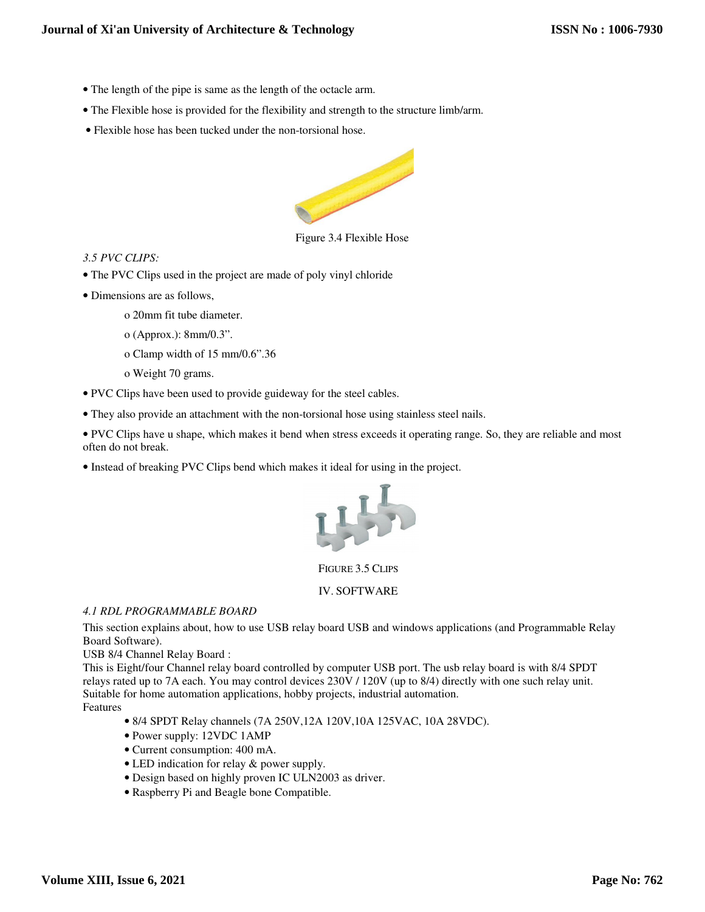- The length of the pipe is same as the length of the octacle arm.
- The Flexible hose is provided for the flexibility and strength to the structure limb/arm.
- Flexible hose has been tucked under the non-torsional hose.



Figure 3.4 Flexible Hose

## *3.5 PVC CLIPS:*

- The PVC Clips used in the project are made of poly vinyl chloride
- Dimensions are as follows,
	- o 20mm fit tube diameter.
	- o (Approx.): 8mm/0.3".
	- o Clamp width of 15 mm/0.6".36
	- o Weight 70 grams.
- PVC Clips have been used to provide guideway for the steel cables.
- They also provide an attachment with the non-torsional hose using stainless steel nails.
- PVC Clips have u shape, which makes it bend when stress exceeds it operating range. So, they are reliable and most often do not break.
- Instead of breaking PVC Clips bend which makes it ideal for using in the project.



FIGURE 3.5 CLIPS

IV. SOFTWARE

## *4.1 RDL PROGRAMMABLE BOARD*

This section explains about, how to use USB relay board USB and windows applications (and Programmable Relay Board Software).

USB 8/4 Channel Relay Board :

This is Eight/four Channel relay board controlled by computer USB port. The usb relay board is with 8/4 SPDT relays rated up to 7A each. You may control devices 230V / 120V (up to 8/4) directly with one such relay unit. Suitable for home automation applications, hobby projects, industrial automation. Features

- 8/4 SPDT Relay channels (7A 250V,12A 120V,10A 125VAC, 10A 28VDC).
- Power supply: 12VDC 1AMP
- Current consumption: 400 mA.
- LED indication for relay & power supply.
- Design based on highly proven IC ULN2003 as driver.
- Raspberry Pi and Beagle bone Compatible.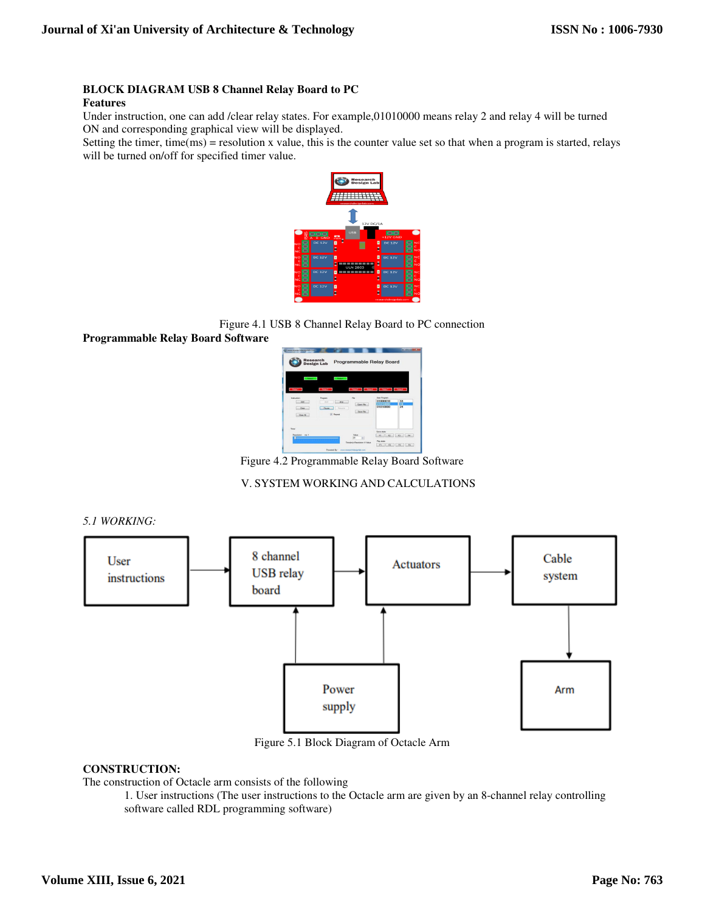## **BLOCK DIAGRAM USB 8 Channel Relay Board to PC**

#### **Features**

Under instruction, one can add /clear relay states. For example,01010000 means relay 2 and relay 4 will be turned ON and corresponding graphical view will be displayed.

Setting the timer, time(ms) = resolution x value, this is the counter value set so that when a program is started, relays will be turned on/off for specified timer value.



Figure 4.1 USB 8 Channel Relay Board to PC connection

**Programmable Relay Board Software** 



Figure 4.2 Programmable Relay Board Software

## V. SYSTEM WORKING AND CALCULATIONS

*5.1 WORKING:* 



Figure 5.1 Block Diagram of Octacle Arm

## **CONSTRUCTION:**

The construction of Octacle arm consists of the following

1. User instructions (The user instructions to the Octacle arm are given by an 8-channel relay controlling software called RDL programming software)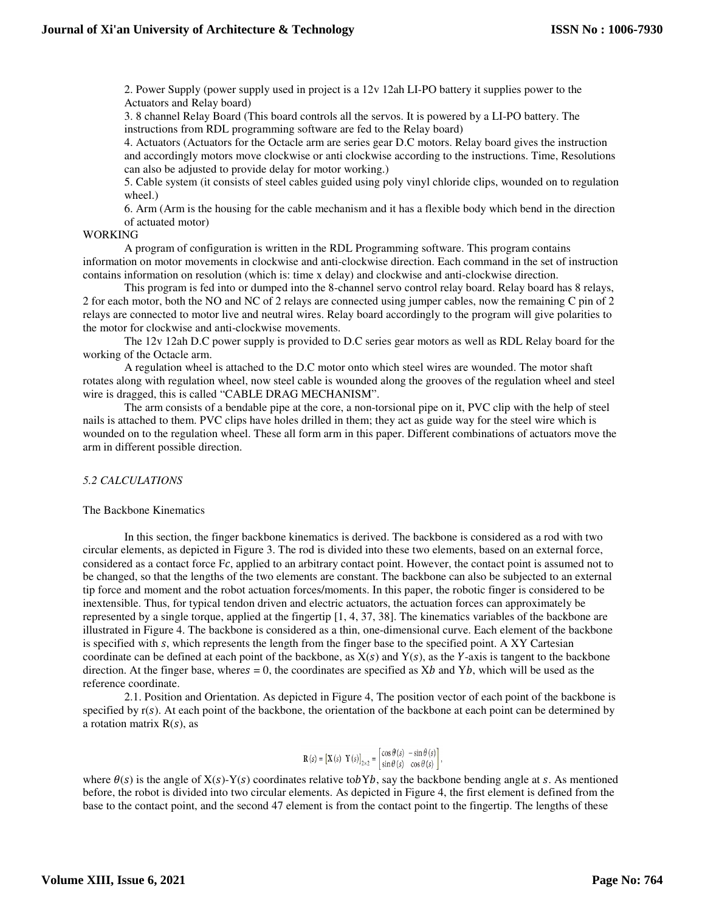2. Power Supply (power supply used in project is a 12v 12ah LI-PO battery it supplies power to the Actuators and Relay board)

3. 8 channel Relay Board (This board controls all the servos. It is powered by a LI-PO battery. The instructions from RDL programming software are fed to the Relay board)

4. Actuators (Actuators for the Octacle arm are series gear D.C motors. Relay board gives the instruction and accordingly motors move clockwise or anti clockwise according to the instructions. Time, Resolutions can also be adjusted to provide delay for motor working.)

5. Cable system (it consists of steel cables guided using poly vinyl chloride clips, wounded on to regulation wheel.)

6. Arm (Arm is the housing for the cable mechanism and it has a flexible body which bend in the direction of actuated motor)

#### WORKING

A program of configuration is written in the RDL Programming software. This program contains information on motor movements in clockwise and anti-clockwise direction. Each command in the set of instruction contains information on resolution (which is: time x delay) and clockwise and anti-clockwise direction.

This program is fed into or dumped into the 8-channel servo control relay board. Relay board has 8 relays, 2 for each motor, both the NO and NC of 2 relays are connected using jumper cables, now the remaining C pin of 2 relays are connected to motor live and neutral wires. Relay board accordingly to the program will give polarities to the motor for clockwise and anti-clockwise movements.

The 12v 12ah D.C power supply is provided to D.C series gear motors as well as RDL Relay board for the working of the Octacle arm.

A regulation wheel is attached to the D.C motor onto which steel wires are wounded. The motor shaft rotates along with regulation wheel, now steel cable is wounded along the grooves of the regulation wheel and steel wire is dragged, this is called "CABLE DRAG MECHANISM".

The arm consists of a bendable pipe at the core, a non-torsional pipe on it, PVC clip with the help of steel nails is attached to them. PVC clips have holes drilled in them; they act as guide way for the steel wire which is wounded on to the regulation wheel. These all form arm in this paper. Different combinations of actuators move the arm in different possible direction.

## *5.2 CALCULATIONS*

#### The Backbone Kinematics

In this section, the finger backbone kinematics is derived. The backbone is considered as a rod with two circular elements, as depicted in Figure 3. The rod is divided into these two elements, based on an external force, considered as a contact force  $Fc$ , applied to an arbitrary contact point. However, the contact point is assumed not to be changed, so that the lengths of the two elements are constant. The backbone can also be subjected to an external tip force and moment and the robot actuation forces/moments. In this paper, the robotic finger is considered to be inextensible. Thus, for typical tendon driven and electric actuators, the actuation forces can approximately be represented by a single torque, applied at the fingertip [1, 4, 37, 38]. The kinematics variables of the backbone are illustrated in Figure 4. The backbone is considered as a thin, one-dimensional curve. Each element of the backbone is specified with s, which represents the length from the finger base to the specified point. A XY Cartesian coordinate can be defined at each point of the backbone, as  $X(s)$  and  $Y(s)$ , as the Y-axis is tangent to the backbone direction. At the finger base, wheres = 0, the coordinates are specified as  $Xb$  and  $Yb$ , which will be used as the reference coordinate.

2.1. Position and Orientation. As depicted in Figure 4, The position vector of each point of the backbone is specified by  $r(s)$ . At each point of the backbone, the orientation of the backbone at each point can be determined by a rotation matrix  $R(s)$ , as

$$
\mathbf{R}\left(s\right)=\left[\mathbf{X}\left(s\right)\ \mathbf{Y}\left(s\right)\right]_{2\times2}=\left[\begin{matrix}\cos\theta\left(s\right)&-\sin\theta\left(s\right)\\ \sin\theta\left(s\right)&\cos\theta\left(s\right)\end{matrix}\right],
$$

where  $\theta(s)$  is the angle of X(s)-Y(s) coordinates relative tobYb, say the backbone bending angle at s. As mentioned before, the robot is divided into two circular elements. As depicted in Figure 4, the first element is defined from the base to the contact point, and the second 47 element is from the contact point to the fingertip. The lengths of these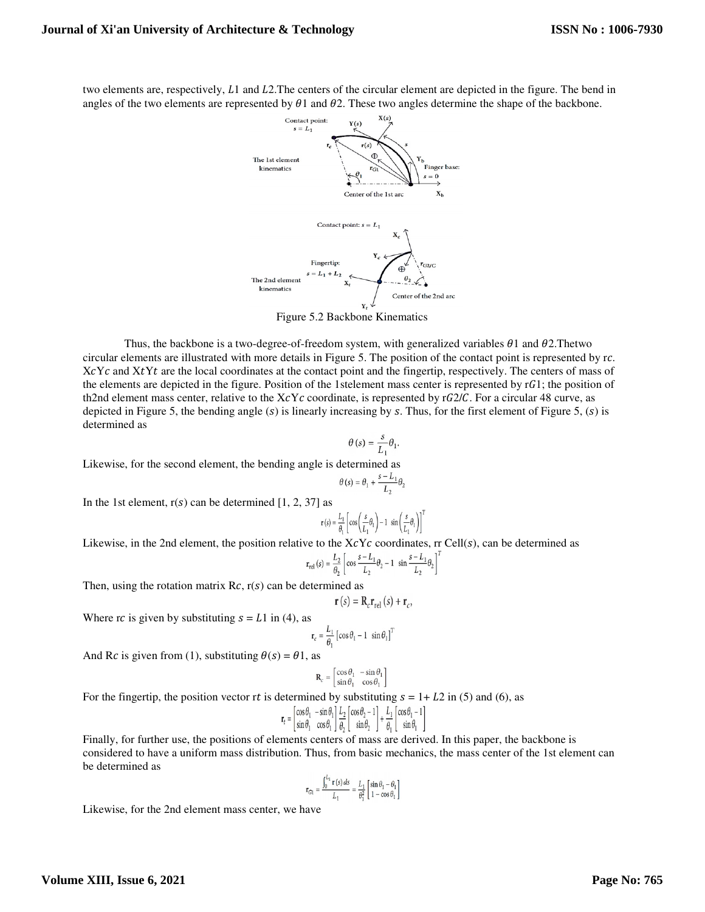two elements are, respectively, L1 and L2. The centers of the circular element are depicted in the figure. The bend in angles of the two elements are represented by  $\theta_1$  and  $\theta_2$ . These two angles determine the shape of the backbone.



Figure 5.2 Backbone Kinematics

Thus, the backbone is a two-degree-of-freedom system, with generalized variables  $\theta$ 1 and  $\theta$ 2. Thetwo circular elements are illustrated with more details in Figure 5. The position of the contact point is represented by r.c.  $XcYc$  and  $XtYt$  are the local coordinates at the contact point and the fingertip, respectively. The centers of mass of the elements are depicted in the figure. Position of the 1stelement mass center is represented by  $rG1$ ; the position of th2nd element mass center, relative to the  $XcYc$  coordinate, is represented by r $G2/C$ . For a circular 48 curve, as depicted in Figure 5, the bending angle  $(s)$  is linearly increasing by s. Thus, for the first element of Figure 5,  $(s)$  is determined as

$$
\theta(s) = \frac{s}{L_1} \theta_1
$$

Likewise, for the second element, the bending angle is determined as

$$
\theta(s) = \theta_1 + \frac{s - L_1}{L_2} \theta_2
$$

In the 1st element,  $r(s)$  can be determined [1, 2, 37] as

$$
\mathbf{r}\left(s\right)=\frac{L_{1}}{\theta_{1}}\left[\cos\left(\frac{s}{L_{1}}\theta_{1}\right)-1\right]\sin\left(\frac{s}{L_{1}}\theta_{1}\right)\right]^{\frac{1}{2}}
$$

Likewise, in the 2nd element, the position relative to the  $XcYc$  coordinates, rr Cell(s), can be determined as

$$
\mathbf{r}_{\text{rel}}(s) = \frac{L_2}{\theta_2} \left[ \cos \frac{s - L_1}{L_2} \theta_2 - 1 \sin \frac{s - L_1}{L_2} \theta_2 \right]^T
$$

Then, using the rotation matrix  $Rc$ ,  $r(s)$  can be determined as

$$
\mathbf{r}\left(s\right) = \mathbf{R}_{c}\mathbf{r}_{\text{rel}}\left(s\right) + \mathbf{r}_{c}
$$

Where rc is given by substituting  $s = L1$  in (4), as

$$
\mathbf{r}_c = \frac{L_1}{\theta_1} \left[ \cos \theta_1 - 1 \ \sin \theta_1 \right]^T
$$

And Rc is given from (1), substituting  $\theta(s) = \theta \cdot 1$ , as

$$
\mathbf{R}_c = \begin{bmatrix} \cos \theta_1 & -\sin \theta_1 \\ \sin \theta_1 & \cos \theta_1 \end{bmatrix}
$$

For the fingertip, the position vector rt is determined by substituting  $s = 1 + L2$  in (5) and (6), as

$$
\mathbf{r}_t = \begin{bmatrix} \cos\theta_1 & -\sin\theta_1 \\ \sin\theta_1 & \cos\theta_1 \end{bmatrix} \frac{L_2}{\theta_2} \begin{bmatrix} \cos\theta_2 - 1 \\ \sin\theta_2 \end{bmatrix} + \frac{L_1}{\theta_1} \begin{bmatrix} \cos\theta_1 - 1 \\ \sin\theta_1 \end{bmatrix}
$$

Finally, for further use, the positions of elements centers of mass are derived. In this paper, the backbone is considered to have a uniform mass distribution. Thus, from basic mechanics, the mass center of the 1st element can be determined as

$$
\mathbf{r}_{\mathrm{G1}} = \frac{\int_0^{L_1} \mathbf{r}(s) ds}{L_1} = \frac{L_1}{\theta_1^2} \begin{bmatrix} \sin \theta_1 - \theta_1 \\ 1 - \cos \theta_1 \end{bmatrix}
$$

Likewise, for the 2nd element mass center, we have

## **Volume XIII, Issue 6, 2021**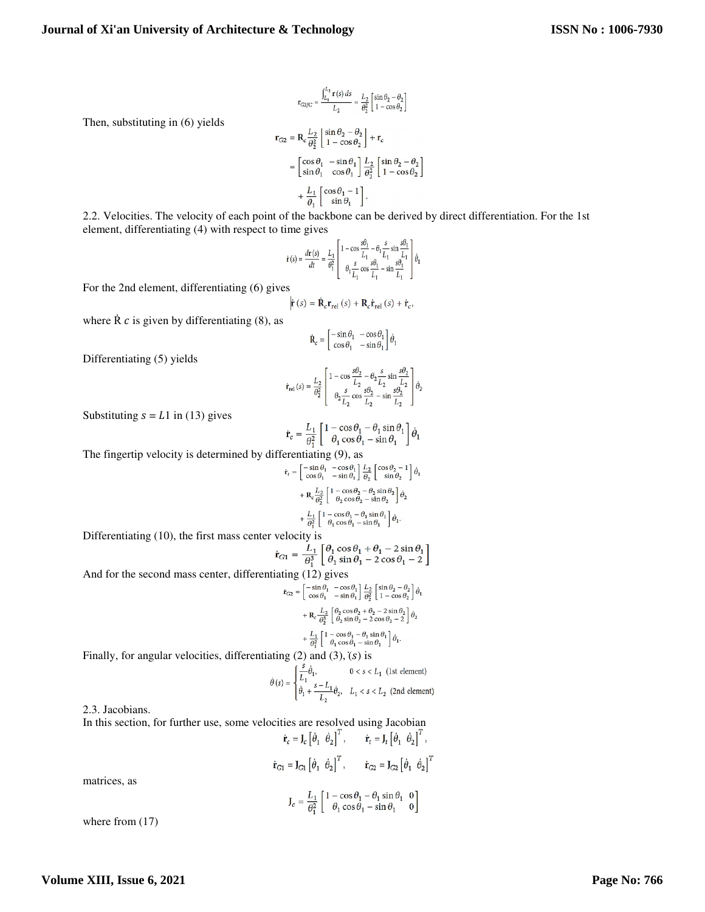$$
\mathbf{r}_{G2/C} = \frac{\int_{L_1}^{L_2} \mathbf{r}(s) ds}{L_2} = \frac{L_2}{\theta_2^2} \left[ \frac{\sin \theta_2 - \theta_2}{1 - \cos \theta_2} \right]
$$

$$
\mathbf{r}_{G2} = \mathbf{R}_c \frac{L_2}{\theta_2^2} \left[ \frac{\sin \theta_2 - \theta_2}{1 - \cos \theta_2} \right] + \mathbf{r}_c
$$

$$
= \left[ \frac{\cos \theta_1}{\sin \theta_1} - \frac{\sin \theta_1}{\cos \theta_1} \right] \frac{L_2}{\theta_2^2} \left[ \frac{\sin \theta_2 - \theta_2}{1 - \cos \theta_2} \right]
$$

$$
+ \frac{L_1}{\theta_1} \left[ \frac{\cos \theta_1 - 1}{\sin \theta_1} \right].
$$

2.2. Velocities. The velocity of each point of the backbone can be derived by direct differentiation. For the 1st element, differentiating (4) with respect to time gives

$$
\dot{\mathbf{r}}(s) = \frac{d\mathbf{r}(s)}{dt} = \frac{L_1}{\theta_1^2} \left[ \begin{array}{c} 1 - \cos\frac{s\theta_1}{L_1} - \theta_1 \frac{s}{L_1} \sin\frac{s\theta_1}{L_1} \\ \theta_1 \frac{s}{L_1} \cos\frac{s\theta_1}{L_1} - \sin\frac{s\theta_1}{L_1} \end{array} \right] \dot{\theta}_1
$$

For the 2nd element, differentiating (6) gives

$$
\dot{\mathbf{r}}(s) = \dot{\mathbf{R}}_{c} \mathbf{r}_{rel}(s) + \mathbf{R}_{c} \dot{\mathbf{r}}_{rel}(s) + \dot{\mathbf{r}}_{c},
$$

where  $\dot{R}$  *c* is given by differentiating (8), as

$$
\dot{\mathbf{R}}_c = \begin{bmatrix} -\sin\theta_1 & -\cos\theta_1 \\ \cos\theta_1 & -\sin\theta_1 \end{bmatrix} \dot{\theta}_1
$$

Differentiating (5) yields

Then, substituting in (6) yields

$$
\dot{\mathbf{r}}_{\text{rel}}(s) = \frac{L_2}{\theta_2^2} \begin{bmatrix} 1 - \cos \frac{s\theta_2}{L_2} - \theta_2 \frac{s}{L_2} \sin \frac{s\theta_2}{L_2} \\ \theta_2 \frac{s}{L_2} \cos \frac{s\theta_2}{L_2} - \sin \frac{s\theta_2}{L_2} \end{bmatrix} \dot{\theta}_2.
$$

Substituting  $s = L1$  in (13) gives

$$
\dot{\mathbf{r}}_c = \frac{L_1}{\theta_1^2} \begin{bmatrix} 1 - \cos \theta_1 - \theta_1 \sin \theta_1 \\ \theta_1 \cos \theta_1 - \sin \theta_1 \end{bmatrix} \dot{\theta}_1
$$

The fingertip velocity is determined by differentiating (9), as

$$
\dot{\mathbf{r}}_t = \begin{bmatrix} -\sin\theta_1 & -\cos\theta_1 \\ \cos\theta_1 & -\sin\theta_1 \end{bmatrix} \frac{L_2}{\theta_2} \begin{bmatrix} \cos\theta_2 - 1 \\ \sin\theta_2 \end{bmatrix} \dot{\theta}_1
$$

$$
+ \mathbf{R}_c \frac{L_2}{\theta_2^2} \begin{bmatrix} 1 - \cos\theta_2 - \theta_2 \sin\theta_2 \\ \theta_2 \cos\theta_2 - \sin\theta_2 \end{bmatrix} \dot{\theta}_2
$$

$$
+ \frac{L_1}{\theta_1^2} \begin{bmatrix} 1 - \cos\theta_1 - \theta_1 \sin\theta_1 \\ \theta_1 \cos\theta_1 - \sin\theta_1 \end{bmatrix} \dot{\theta}_1.
$$

Differentiating (10), the first mass center velocity is

$$
\dot{\mathbf{r}}_{G1} = \frac{L_1}{\theta_1^3} \begin{bmatrix} \theta_1 \cos \theta_1 + \theta_1 - 2 \sin \theta_1 \\ \theta_1 \sin \theta_1 - 2 \cos \theta_1 - 2 \end{bmatrix}
$$

And for the second mass center, differentiating (12) gives

$$
\dot{\mathbf{r}}_{G2} = \begin{bmatrix} -\sin\theta_1 & -\cos\theta_1 \\ \cos\theta_1 & -\sin\theta_1 \end{bmatrix} \frac{L_2}{\theta_2^2} \begin{bmatrix} \sin\theta_2 - \theta_2 \\ 1 - \cos\theta_2 \end{bmatrix} \dot{\theta}_1
$$

$$
+ \mathbf{R}_c \frac{L_2}{\theta_2^3} \begin{bmatrix} \theta_2 \cos\theta_2 + \theta_2 - 2\sin\theta_2 \\ \theta_2 \sin\theta_2 - 2\cos\theta_2 - 2 \end{bmatrix} \dot{\theta}_2
$$

$$
+ \frac{L_1}{\theta_1^2} \begin{bmatrix} 1 - \cos\theta_1 - \theta_1 \sin\theta_1 \\ \theta_1 \cos\theta_1 - \sin\theta_1 \end{bmatrix} \dot{\theta}_1.
$$

Finally, for angular velocities, differentiating  $(2)$  and  $(3)$ ,  $(s)$  is

$$
\dot{\theta}(s) = \begin{cases} \frac{s}{L_1} \dot{\theta}_1, & 0 < s < L_1 \text{ (1st element)}\\ \dot{\theta}_1 + \frac{s - L_1}{L_2} \dot{\theta}_2, & L_1 < s < L_2 \text{ (2nd element)} \end{cases}
$$

2.3. Jacobians.

In this section, for further use, some velocities are resolved using Jacobian

$$
\dot{\mathbf{r}}_c = \mathbf{J}_c \begin{bmatrix} \dot{\theta}_1 & \dot{\theta}_2 \end{bmatrix}^T, \qquad \dot{\mathbf{r}}_t = \mathbf{J}_t \begin{bmatrix} \dot{\theta}_1 & \dot{\theta}_2 \end{bmatrix}^T,
$$
\n
$$
\dot{\mathbf{r}}_{G1} = \mathbf{J}_{G1} \begin{bmatrix} \dot{\theta}_1 & \dot{\theta}_2 \end{bmatrix}^T, \qquad \dot{\mathbf{r}}_{G2} = \mathbf{J}_{G2} \begin{bmatrix} \dot{\theta}_1 & \dot{\theta}_2 \end{bmatrix}^T
$$
\n
$$
\mathbf{J}_c = \frac{L_1}{\theta_1^2} \begin{bmatrix} 1 - \cos \theta_1 - \theta_1 \sin \theta_1 & 0 \\ \theta_1 \cos \theta_1 - \sin \theta_1 & 0 \end{bmatrix}
$$

matrices, as

where from 
$$
(17)
$$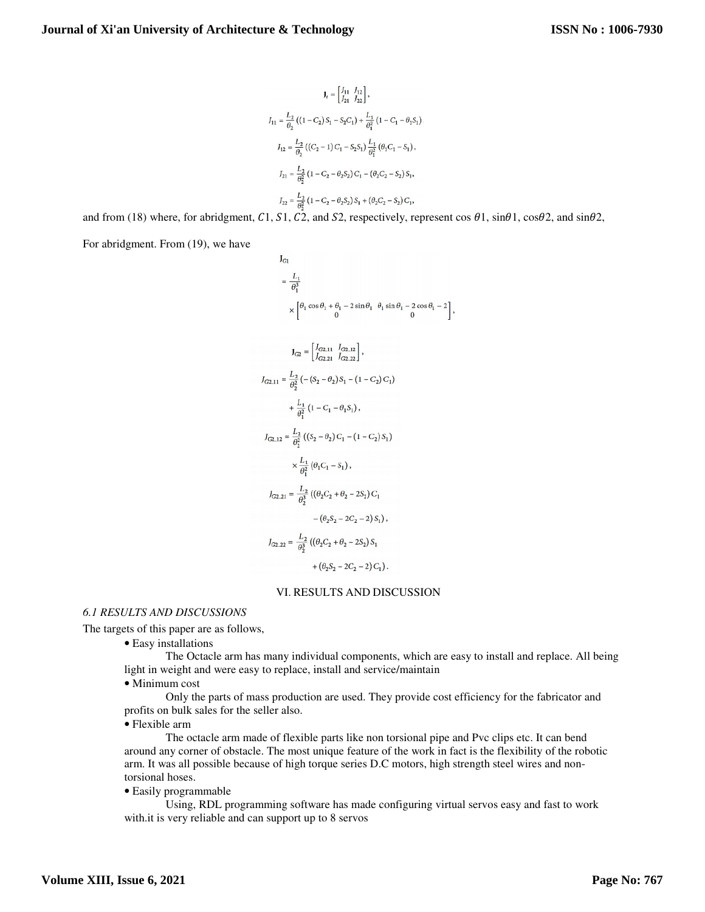$$
J_{1} = \begin{bmatrix} I_{11} & J_{12} \\ J_{21} & J_{22} \end{bmatrix},
$$
  
\n
$$
J_{11} = \frac{L_{2}}{\theta_{2}} \left( (1 - C_{2}) S_{1} - S_{2} C_{1} \right) + \frac{L_{1}}{\theta_{1}^{2}} \left( 1 - C_{1} - \theta_{1} S_{1} \right),
$$
  
\n
$$
J_{12} = \frac{L_{2}}{\theta_{2}} \left( (C_{2} - 1) C_{1} - S_{2} S_{1} \right) \frac{L_{1}}{\theta_{1}^{2}} \left( \theta_{1} C_{1} - S_{1} \right),
$$
  
\n
$$
J_{21} = \frac{L_{2}}{\theta_{2}^{2}} \left( 1 - C_{2} - \theta_{2} S_{2} \right) C_{1} - \left( \theta_{2} C_{2} - S_{2} \right) S_{1},
$$
  
\n
$$
J_{22} = \frac{L_{2}}{\theta_{2}^{2}} \left( 1 - C_{2} - \theta_{2} S_{2} \right) S_{1} + \left( \theta_{2} C_{2} - S_{2} \right) C_{1},
$$

and from (18) where, for abridgment, C1, S1, C2, and S2, respectively, represent cos  $\theta$ 1, sin $\theta$ 1, cos $\theta$ 2, and sin $\theta$ 2,

For abridgment. From (19), we have

$$
J_{G1}
$$
\n
$$
= \frac{L_1}{\theta_1^3}
$$
\n
$$
\times \left[\frac{\theta_1 \cos \theta_1 + \theta_1 - 2 \sin \theta_1}{0} + \frac{\theta_1 \sin \theta_1 - 2 \cos \theta_1 - 2}{0}\right]
$$
\n
$$
J_{G2} = \left[\frac{J_{G2,11}}{J_{G2,21}} + \frac{J_{G2,12}}{J_{G2,22}}\right],
$$
\n
$$
J_{G2,11} = \frac{L_2}{\theta_2^2} \left(-\left(S_2 - \theta_2\right)S_1 - \left(1 - C_2\right)C_1\right)
$$
\n
$$
+ \frac{L_1}{\theta_1^2} \left(1 - C_1 - \theta_1 S_1\right),
$$
\n
$$
J_{G2,12} = \frac{L_2}{\theta_2^2} \left(\left(S_2 - \theta_2\right)C_1 - \left(1 - C_2\right)S_1\right)
$$
\n
$$
\times \frac{L_1}{\theta_1^2} \left(\theta_1 C_1 - S_1\right),
$$
\n
$$
J_{G2,21} = \frac{L_2}{\theta_2^3} \left(\left(\theta_2 C_2 + \theta_2 - 2S_2\right)C_1 - \left(\theta_2 S_2 - 2C_2 - 2\right)S_1\right),
$$
\n
$$
J_{G2,22} = \frac{L_2}{\theta_2^3} \left(\left(\theta_2 C_2 + \theta_2 - 2S_2\right)S_1 + \left(\theta_2 S_2 - 2C_2 - 2\right)C_1\right).
$$

#### VI. RESULTS AND DISCUSSION

#### *6.1 RESULTS AND DISCUSSIONS*

The targets of this paper are as follows,

• Easy installations

The Octacle arm has many individual components, which are easy to install and replace. All being light in weight and were easy to replace, install and service/maintain

• Minimum cost

Only the parts of mass production are used. They provide cost efficiency for the fabricator and profits on bulk sales for the seller also.

• Flexible arm

The octacle arm made of flexible parts like non torsional pipe and Pvc clips etc. It can bend around any corner of obstacle. The most unique feature of the work in fact is the flexibility of the robotic arm. It was all possible because of high torque series D.C motors, high strength steel wires and nontorsional hoses.

• Easily programmable

Using, RDL programming software has made configuring virtual servos easy and fast to work with.it is very reliable and can support up to 8 servos